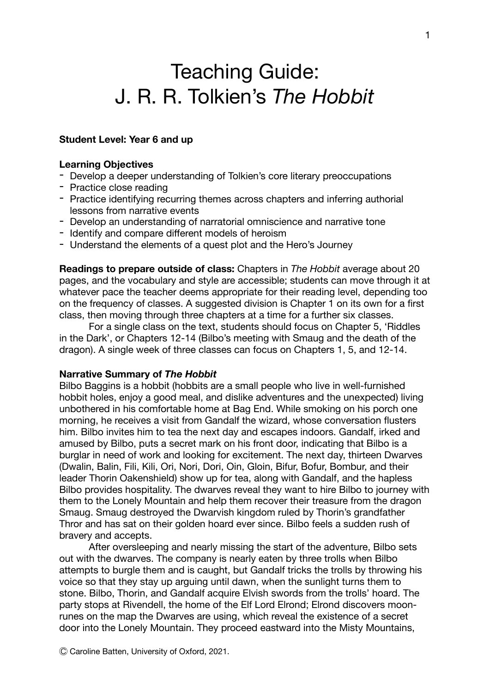# Teaching Guide: J. R. R. Tolkien's *The Hobbit*

## **Student Level: Year 6 and up**

#### **Learning Objectives**

- Develop a deeper understanding of Tolkien's core literary preoccupations
- Practice close reading
- Practice identifying recurring themes across chapters and inferring authorial lessons from narrative events
- Develop an understanding of narratorial omniscience and narrative tone
- Identify and compare different models of heroism
- Understand the elements of a quest plot and the Hero's Journey

**Readings to prepare outside of class:** Chapters in *The Hobbit* average about 20 pages, and the vocabulary and style are accessible; students can move through it at whatever pace the teacher deems appropriate for their reading level, depending too on the frequency of classes. A suggested division is Chapter 1 on its own for a first class, then moving through three chapters at a time for a further six classes.

For a single class on the text, students should focus on Chapter 5, 'Riddles in the Dark', or Chapters 12-14 (Bilbo's meeting with Smaug and the death of the dragon). A single week of three classes can focus on Chapters 1, 5, and 12-14.

## **Narrative Summary of** *The Hobbit*

Bilbo Baggins is a hobbit (hobbits are a small people who live in well-furnished hobbit holes, enjoy a good meal, and dislike adventures and the unexpected) living unbothered in his comfortable home at Bag End. While smoking on his porch one morning, he receives a visit from Gandalf the wizard, whose conversation flusters him. Bilbo invites him to tea the next day and escapes indoors. Gandalf, irked and amused by Bilbo, puts a secret mark on his front door, indicating that Bilbo is a burglar in need of work and looking for excitement. The next day, thirteen Dwarves (Dwalin, Balin, Fili, Kili, Ori, Nori, Dori, Oin, Gloin, Bifur, Bofur, Bombur, and their leader Thorin Oakenshield) show up for tea, along with Gandalf, and the hapless Bilbo provides hospitality. The dwarves reveal they want to hire Bilbo to journey with them to the Lonely Mountain and help them recover their treasure from the dragon Smaug. Smaug destroyed the Dwarvish kingdom ruled by Thorin's grandfather Thror and has sat on their golden hoard ever since. Bilbo feels a sudden rush of bravery and accepts.

After oversleeping and nearly missing the start of the adventure, Bilbo sets out with the dwarves. The company is nearly eaten by three trolls when Bilbo attempts to burgle them and is caught, but Gandalf tricks the trolls by throwing his voice so that they stay up arguing until dawn, when the sunlight turns them to stone. Bilbo, Thorin, and Gandalf acquire Elvish swords from the trolls' hoard. The party stops at Rivendell, the home of the Elf Lord Elrond; Elrond discovers moonrunes on the map the Dwarves are using, which reveal the existence of a secret door into the Lonely Mountain. They proceed eastward into the Misty Mountains,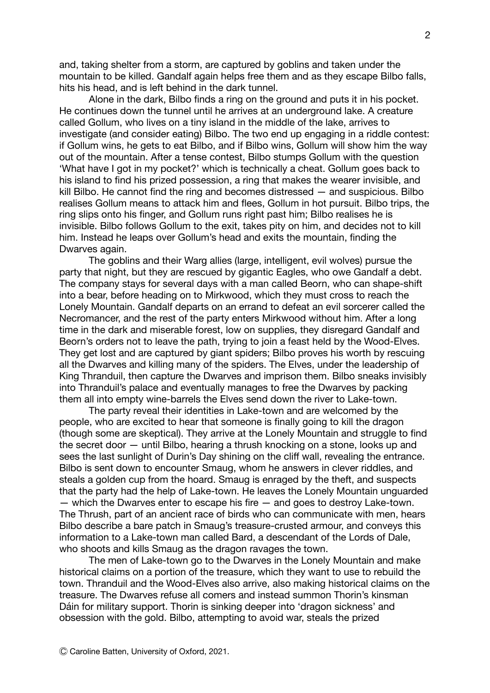and, taking shelter from a storm, are captured by goblins and taken under the mountain to be killed. Gandalf again helps free them and as they escape Bilbo falls, hits his head, and is left behind in the dark tunnel.

Alone in the dark, Bilbo finds a ring on the ground and puts it in his pocket. He continues down the tunnel until he arrives at an underground lake. A creature called Gollum, who lives on a tiny island in the middle of the lake, arrives to investigate (and consider eating) Bilbo. The two end up engaging in a riddle contest: if Gollum wins, he gets to eat Bilbo, and if Bilbo wins, Gollum will show him the way out of the mountain. After a tense contest, Bilbo stumps Gollum with the question 'What have I got in my pocket?' which is technically a cheat. Gollum goes back to his island to find his prized possession, a ring that makes the wearer invisible, and kill Bilbo. He cannot find the ring and becomes distressed — and suspicious. Bilbo realises Gollum means to attack him and flees, Gollum in hot pursuit. Bilbo trips, the ring slips onto his finger, and Gollum runs right past him; Bilbo realises he is invisible. Bilbo follows Gollum to the exit, takes pity on him, and decides not to kill him. Instead he leaps over Gollum's head and exits the mountain, finding the Dwarves again.

The goblins and their Warg allies (large, intelligent, evil wolves) pursue the party that night, but they are rescued by gigantic Eagles, who owe Gandalf a debt. The company stays for several days with a man called Beorn, who can shape-shift into a bear, before heading on to Mirkwood, which they must cross to reach the Lonely Mountain. Gandalf departs on an errand to defeat an evil sorcerer called the Necromancer, and the rest of the party enters Mirkwood without him. After a long time in the dark and miserable forest, low on supplies, they disregard Gandalf and Beorn's orders not to leave the path, trying to join a feast held by the Wood-Elves. They get lost and are captured by giant spiders; Bilbo proves his worth by rescuing all the Dwarves and killing many of the spiders. The Elves, under the leadership of King Thranduil, then capture the Dwarves and imprison them. Bilbo sneaks invisibly into Thranduil's palace and eventually manages to free the Dwarves by packing them all into empty wine-barrels the Elves send down the river to Lake-town.

The party reveal their identities in Lake-town and are welcomed by the people, who are excited to hear that someone is finally going to kill the dragon (though some are skeptical). They arrive at the Lonely Mountain and struggle to find the secret door — until Bilbo, hearing a thrush knocking on a stone, looks up and sees the last sunlight of Durin's Day shining on the cliff wall, revealing the entrance. Bilbo is sent down to encounter Smaug, whom he answers in clever riddles, and steals a golden cup from the hoard. Smaug is enraged by the theft, and suspects that the party had the help of Lake-town. He leaves the Lonely Mountain unguarded — which the Dwarves enter to escape his fire — and goes to destroy Lake-town. The Thrush, part of an ancient race of birds who can communicate with men, hears Bilbo describe a bare patch in Smaug's treasure-crusted armour, and conveys this information to a Lake-town man called Bard, a descendant of the Lords of Dale, who shoots and kills Smaug as the dragon ravages the town.

The men of Lake-town go to the Dwarves in the Lonely Mountain and make historical claims on a portion of the treasure, which they want to use to rebuild the town. Thranduil and the Wood-Elves also arrive, also making historical claims on the treasure. The Dwarves refuse all comers and instead summon Thorin's kinsman Dáin for military support. Thorin is sinking deeper into 'dragon sickness' and obsession with the gold. Bilbo, attempting to avoid war, steals the prized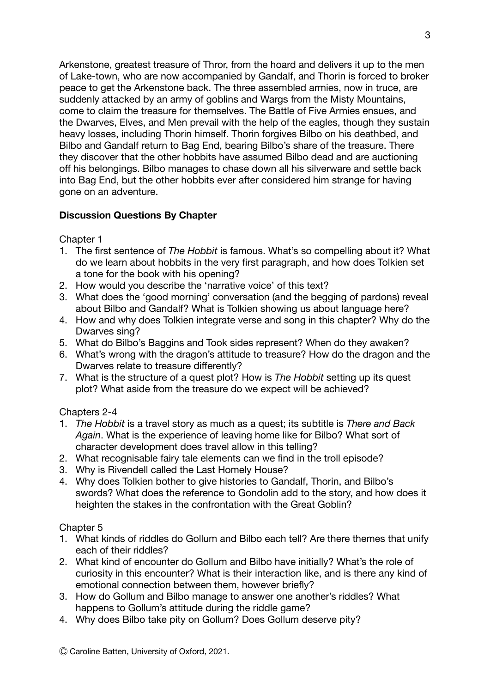Arkenstone, greatest treasure of Thror, from the hoard and delivers it up to the men of Lake-town, who are now accompanied by Gandalf, and Thorin is forced to broker peace to get the Arkenstone back. The three assembled armies, now in truce, are suddenly attacked by an army of goblins and Wargs from the Misty Mountains, come to claim the treasure for themselves. The Battle of Five Armies ensues, and the Dwarves, Elves, and Men prevail with the help of the eagles, though they sustain heavy losses, including Thorin himself. Thorin forgives Bilbo on his deathbed, and Bilbo and Gandalf return to Bag End, bearing Bilbo's share of the treasure. There they discover that the other hobbits have assumed Bilbo dead and are auctioning off his belongings. Bilbo manages to chase down all his silverware and settle back into Bag End, but the other hobbits ever after considered him strange for having gone on an adventure.

# **Discussion Questions By Chapter**

Chapter 1

- 1. The first sentence of *The Hobbit* is famous. What's so compelling about it? What do we learn about hobbits in the very first paragraph, and how does Tolkien set a tone for the book with his opening?
- 2. How would you describe the 'narrative voice' of this text?
- 3. What does the 'good morning' conversation (and the begging of pardons) reveal about Bilbo and Gandalf? What is Tolkien showing us about language here?
- 4. How and why does Tolkien integrate verse and song in this chapter? Why do the Dwarves sing?
- 5. What do Bilbo's Baggins and Took sides represent? When do they awaken?
- 6. What's wrong with the dragon's attitude to treasure? How do the dragon and the Dwarves relate to treasure differently?
- 7. What is the structure of a quest plot? How is *The Hobbit* setting up its quest plot? What aside from the treasure do we expect will be achieved?

Chapters 2-4

- 1. *The Hobbit* is a travel story as much as a quest; its subtitle is *There and Back Again*. What is the experience of leaving home like for Bilbo? What sort of character development does travel allow in this telling?
- 2. What recognisable fairy tale elements can we find in the troll episode?
- 3. Why is Rivendell called the Last Homely House?
- 4. Why does Tolkien bother to give histories to Gandalf, Thorin, and Bilbo's swords? What does the reference to Gondolin add to the story, and how does it heighten the stakes in the confrontation with the Great Goblin?

Chapter 5

- 1. What kinds of riddles do Gollum and Bilbo each tell? Are there themes that unify each of their riddles?
- 2. What kind of encounter do Gollum and Bilbo have initially? What's the role of curiosity in this encounter? What is their interaction like, and is there any kind of emotional connection between them, however briefly?
- 3. How do Gollum and Bilbo manage to answer one another's riddles? What happens to Gollum's attitude during the riddle game?
- 4. Why does Bilbo take pity on Gollum? Does Gollum deserve pity?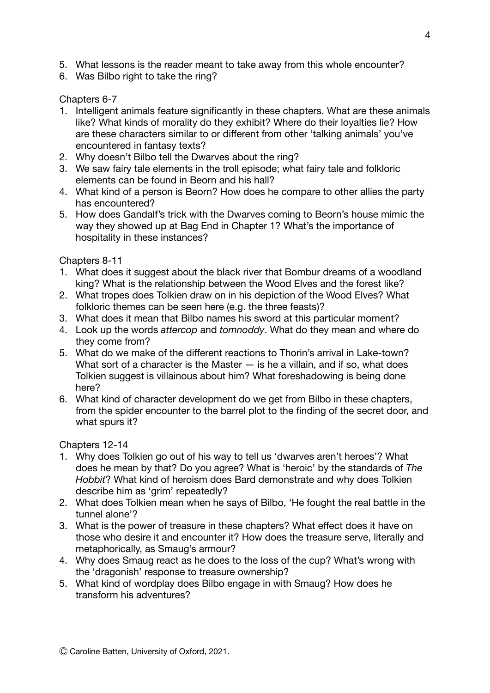- 5. What lessons is the reader meant to take away from this whole encounter?
- 6. Was Bilbo right to take the ring?

Chapters 6-7

- 1. Intelligent animals feature significantly in these chapters. What are these animals like? What kinds of morality do they exhibit? Where do their loyalties lie? How are these characters similar to or different from other 'talking animals' you've encountered in fantasy texts?
- 2. Why doesn't Bilbo tell the Dwarves about the ring?
- 3. We saw fairy tale elements in the troll episode; what fairy tale and folkloric elements can be found in Beorn and his hall?
- 4. What kind of a person is Beorn? How does he compare to other allies the party has encountered?
- 5. How does Gandalf's trick with the Dwarves coming to Beorn's house mimic the way they showed up at Bag End in Chapter 1? What's the importance of hospitality in these instances?

Chapters 8-11

- 1. What does it suggest about the black river that Bombur dreams of a woodland king? What is the relationship between the Wood Elves and the forest like?
- 2. What tropes does Tolkien draw on in his depiction of the Wood Elves? What folkloric themes can be seen here (e.g. the three feasts)?
- 3. What does it mean that Bilbo names his sword at this particular moment?
- 4. Look up the words *attercop* and *tomnoddy*. What do they mean and where do they come from?
- 5. What do we make of the different reactions to Thorin's arrival in Lake-town? What sort of a character is the Master  $-$  is he a villain, and if so, what does Tolkien suggest is villainous about him? What foreshadowing is being done here?
- 6. What kind of character development do we get from Bilbo in these chapters, from the spider encounter to the barrel plot to the finding of the secret door, and what spurs it?

Chapters 12-14

- 1. Why does Tolkien go out of his way to tell us 'dwarves aren't heroes'? What does he mean by that? Do you agree? What is 'heroic' by the standards of *The Hobbit*? What kind of heroism does Bard demonstrate and why does Tolkien describe him as 'grim' repeatedly?
- 2. What does Tolkien mean when he says of Bilbo, 'He fought the real battle in the tunnel alone'?
- 3. What is the power of treasure in these chapters? What effect does it have on those who desire it and encounter it? How does the treasure serve, literally and metaphorically, as Smaug's armour?
- 4. Why does Smaug react as he does to the loss of the cup? What's wrong with the 'dragonish' response to treasure ownership?
- 5. What kind of wordplay does Bilbo engage in with Smaug? How does he transform his adventures?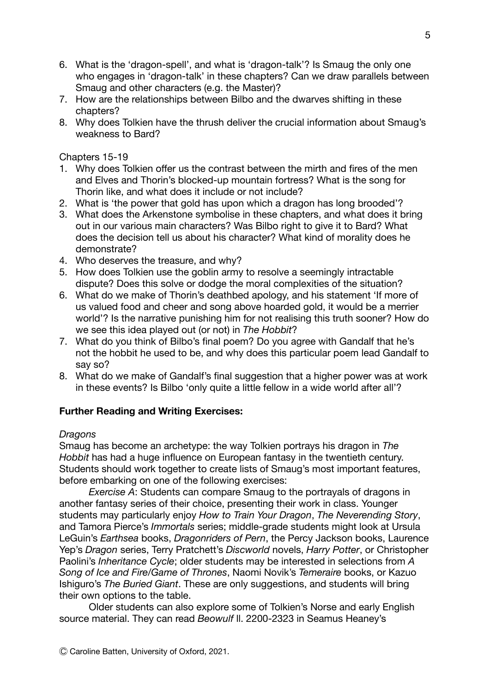- 6. What is the 'dragon-spell', and what is 'dragon-talk'? Is Smaug the only one who engages in 'dragon-talk' in these chapters? Can we draw parallels between Smaug and other characters (e.g. the Master)?
- 7. How are the relationships between Bilbo and the dwarves shifting in these chapters?
- 8. Why does Tolkien have the thrush deliver the crucial information about Smaug's weakness to Bard?

Chapters 15-19

- 1. Why does Tolkien offer us the contrast between the mirth and fires of the men and Elves and Thorin's blocked-up mountain fortress? What is the song for Thorin like, and what does it include or not include?
- 2. What is 'the power that gold has upon which a dragon has long brooded'?
- 3. What does the Arkenstone symbolise in these chapters, and what does it bring out in our various main characters? Was Bilbo right to give it to Bard? What does the decision tell us about his character? What kind of morality does he demonstrate?
- 4. Who deserves the treasure, and why?
- 5. How does Tolkien use the goblin army to resolve a seemingly intractable dispute? Does this solve or dodge the moral complexities of the situation?
- 6. What do we make of Thorin's deathbed apology, and his statement 'If more of us valued food and cheer and song above hoarded gold, it would be a merrier world'? Is the narrative punishing him for not realising this truth sooner? How do we see this idea played out (or not) in *The Hobbit*?
- 7. What do you think of Bilbo's final poem? Do you agree with Gandalf that he's not the hobbit he used to be, and why does this particular poem lead Gandalf to say so?
- 8. What do we make of Gandalf's final suggestion that a higher power was at work in these events? Is Bilbo 'only quite a little fellow in a wide world after all'?

## **Further Reading and Writing Exercises:**

## *Dragons*

Smaug has become an archetype: the way Tolkien portrays his dragon in *The Hobbit* has had a huge influence on European fantasy in the twentieth century. Students should work together to create lists of Smaug's most important features, before embarking on one of the following exercises:

*Exercise A*: Students can compare Smaug to the portrayals of dragons in another fantasy series of their choice, presenting their work in class. Younger students may particularly enjoy *How to Train Your Dragon*, *The Neverending Story*, and Tamora Pierce's *Immortals* series; middle-grade students might look at Ursula LeGuin's *Earthsea* books, *Dragonriders of Pern*, the Percy Jackson books, Laurence Yep's *Dragon* series, Terry Pratchett's *Discworld* novels, *Harry Potter*, or Christopher Paolini's *Inheritance Cycle*; older students may be interested in selections from *A Song of Ice and Fire/Game of Thrones*, Naomi Novik's *Temeraire* books, or Kazuo Ishiguro's *The Buried Giant*. These are only suggestions, and students will bring their own options to the table.

Older students can also explore some of Tolkien's Norse and early English source material. They can read *Beowulf* ll. 2200-2323 in Seamus Heaney's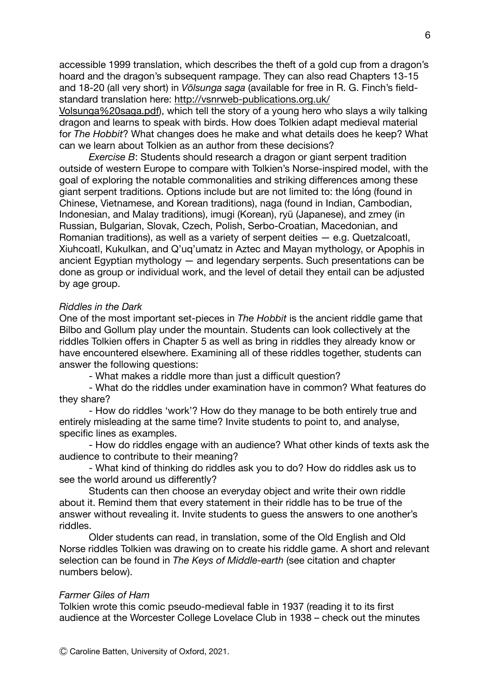accessible 1999 translation, which describes the theft of a gold cup from a dragon's hoard and the dragon's subsequent rampage. They can also read Chapters 13-15 and 18-20 (all very short) in *Völsunga saga* (available for free in R. G. Finch's fieldstandard translation here: [http://vsnrweb-publications.org.uk/](http://vsnrweb-publications.org.uk/Volsunga%20saga.pdf)

[Volsunga%20saga.pdf](http://vsnrweb-publications.org.uk/Volsunga%20saga.pdf)), which tell the story of a young hero who slays a wily talking dragon and learns to speak with birds. How does Tolkien adapt medieval material for *The Hobbit*? What changes does he make and what details does he keep? What can we learn about Tolkien as an author from these decisions?

*Exercise B*: Students should research a dragon or giant serpent tradition outside of western Europe to compare with Tolkien's Norse-inspired model, with the goal of exploring the notable commonalities and striking differences among these giant serpent traditions. Options include but are not limited to: the lóng (found in Chinese, Vietnamese, and Korean traditions), naga (found in Indian, Cambodian, Indonesian, and Malay traditions), imugi (Korean), ryū (Japanese), and zmey (in Russian, Bulgarian, Slovak, Czech, Polish, Serbo-Croatian, Macedonian, and Romanian traditions), as well as a variety of serpent deities — e.g. Quetzalcoatl, Xiuhcoatl, Kukulkan, and Q'uq'umatz in Aztec and Mayan mythology, or Apophis in ancient Egyptian mythology — and legendary serpents. Such presentations can be done as group or individual work, and the level of detail they entail can be adjusted by age group.

#### *Riddles in the Dark*

One of the most important set-pieces in *The Hobbit* is the ancient riddle game that Bilbo and Gollum play under the mountain. Students can look collectively at the riddles Tolkien offers in Chapter 5 as well as bring in riddles they already know or have encountered elsewhere. Examining all of these riddles together, students can answer the following questions:

- What makes a riddle more than just a difficult question?

- What do the riddles under examination have in common? What features do they share?

- How do riddles 'work'? How do they manage to be both entirely true and entirely misleading at the same time? Invite students to point to, and analyse, specific lines as examples.

- How do riddles engage with an audience? What other kinds of texts ask the audience to contribute to their meaning?

- What kind of thinking do riddles ask you to do? How do riddles ask us to see the world around us differently?

Students can then choose an everyday object and write their own riddle about it. Remind them that every statement in their riddle has to be true of the answer without revealing it. Invite students to guess the answers to one another's riddles.

Older students can read, in translation, some of the Old English and Old Norse riddles Tolkien was drawing on to create his riddle game. A short and relevant selection can be found in *The Keys of Middle-earth* (see citation and chapter numbers below).

## *Farmer Giles of Ham*

Tolkien wrote this comic pseudo-medieval fable in 1937 (reading it to its first audience at the Worcester College Lovelace Club in 1938 – check out the minutes